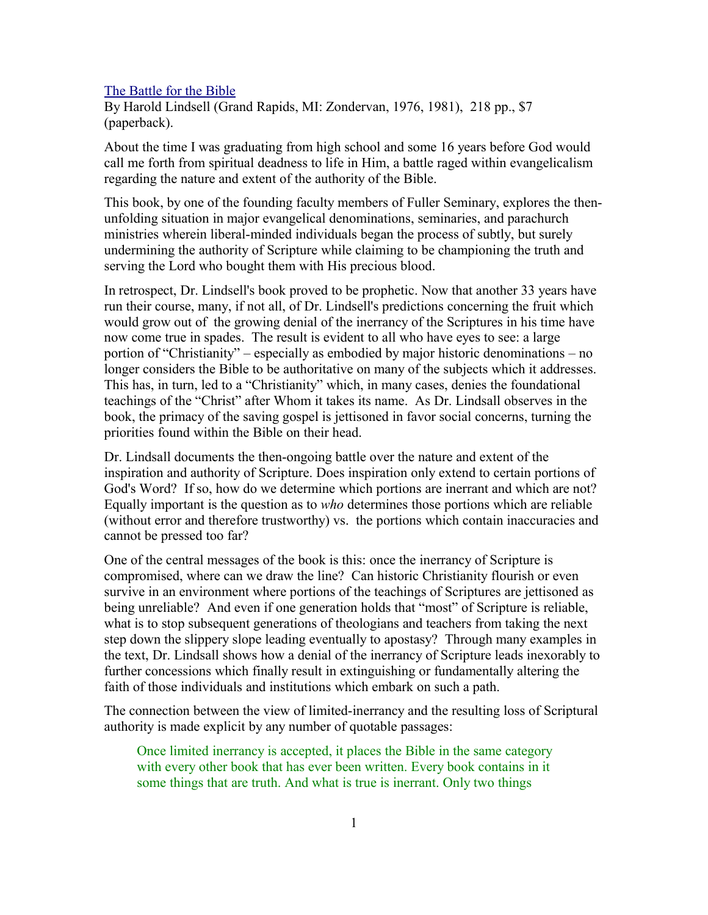## [The Battle for the Bible](http://www.bestbookdeal.com/book/compare/0310276810)

By Harold Lindsell (Grand Rapids, MI: Zondervan, 1976, 1981), 218 pp., \$7 (paperback).

About the time I was graduating from high school and some 16 years before God would call me forth from spiritual deadness to life in Him, a battle raged within evangelicalism regarding the nature and extent of the authority of the Bible.

This book, by one of the founding faculty members of Fuller Seminary, explores the thenunfolding situation in major evangelical denominations, seminaries, and parachurch ministries wherein liberal-minded individuals began the process of subtly, but surely undermining the authority of Scripture while claiming to be championing the truth and serving the Lord who bought them with His precious blood.

In retrospect, Dr. Lindsell's book proved to be prophetic. Now that another 33 years have run their course, many, if not all, of Dr. Lindsell's predictions concerning the fruit which would grow out of the growing denial of the inerrancy of the Scriptures in his time have now come true in spades. The result is evident to all who have eyes to see: a large portion of "Christianity" – especially as embodied by major historic denominations – no longer considers the Bible to be authoritative on many of the subjects which it addresses. This has, in turn, led to a "Christianity" which, in many cases, denies the foundational teachings of the "Christ" after Whom it takes its name. As Dr. Lindsall observes in the book, the primacy of the saving gospel is jettisoned in favor social concerns, turning the priorities found within the Bible on their head.

Dr. Lindsall documents the then-ongoing battle over the nature and extent of the inspiration and authority of Scripture. Does inspiration only extend to certain portions of God's Word? If so, how do we determine which portions are inerrant and which are not? Equally important is the question as to *who* determines those portions which are reliable (without error and therefore trustworthy) vs. the portions which contain inaccuracies and cannot be pressed too far?

One of the central messages of the book is this: once the inerrancy of Scripture is compromised, where can we draw the line? Can historic Christianity flourish or even survive in an environment where portions of the teachings of Scriptures are jettisoned as being unreliable? And even if one generation holds that "most" of Scripture is reliable, what is to stop subsequent generations of theologians and teachers from taking the next step down the slippery slope leading eventually to apostasy? Through many examples in the text, Dr. Lindsall shows how a denial of the inerrancy of Scripture leads inexorably to further concessions which finally result in extinguishing or fundamentally altering the faith of those individuals and institutions which embark on such a path.

The connection between the view of limited-inerrancy and the resulting loss of Scriptural authority is made explicit by any number of quotable passages:

Once limited inerrancy is accepted, it places the Bible in the same category with every other book that has ever been written. Every book contains in it some things that are truth. And what is true is inerrant. Only two things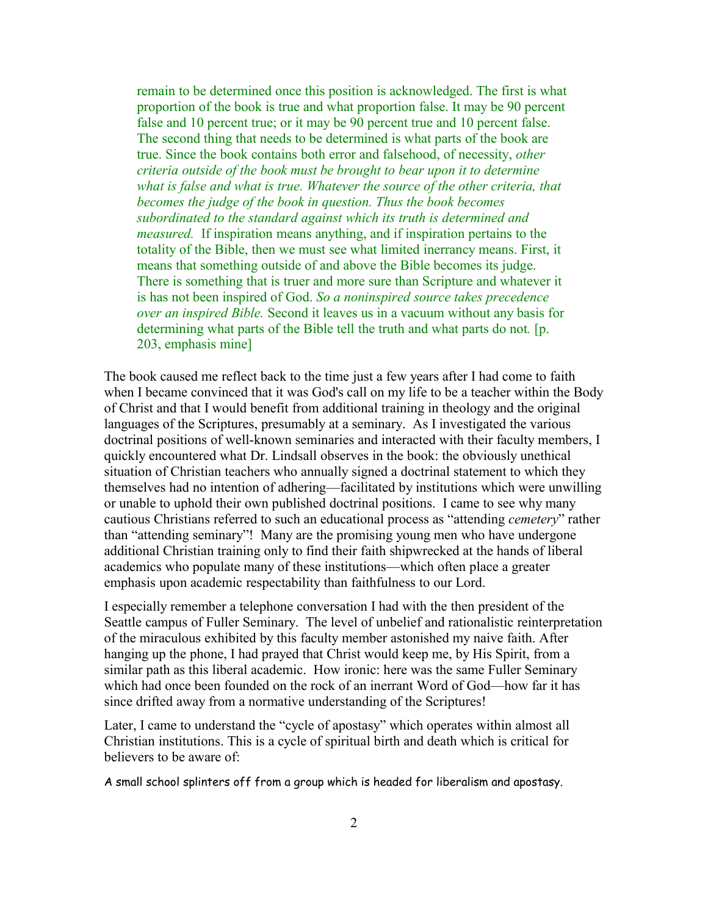remain to be determined once this position is acknowledged. The first is what proportion of the book is true and what proportion false. It may be 90 percent false and 10 percent true; or it may be 90 percent true and 10 percent false. The second thing that needs to be determined is what parts of the book are true. Since the book contains both error and falsehood, of necessity, *other criteria outside of the book must be brought to bear upon it to determine what is false and what is true. Whatever the source of the other criteria, that becomes the judge of the book in question. Thus the book becomes subordinated to the standard against which its truth is determined and measured.* If inspiration means anything, and if inspiration pertains to the totality of the Bible, then we must see what limited inerrancy means. First, it means that something outside of and above the Bible becomes its judge. There is something that is truer and more sure than Scripture and whatever it is has not been inspired of God. *So a noninspired source takes precedence over an inspired Bible.* Second it leaves us in a vacuum without any basis for determining what parts of the Bible tell the truth and what parts do not*.* [p. 203, emphasis mine]

The book caused me reflect back to the time just a few years after I had come to faith when I became convinced that it was God's call on my life to be a teacher within the Body of Christ and that I would benefit from additional training in theology and the original languages of the Scriptures, presumably at a seminary. As I investigated the various doctrinal positions of well-known seminaries and interacted with their faculty members, I quickly encountered what Dr. Lindsall observes in the book: the obviously unethical situation of Christian teachers who annually signed a doctrinal statement to which they themselves had no intention of adhering—facilitated by institutions which were unwilling or unable to uphold their own published doctrinal positions. I came to see why many cautious Christians referred to such an educational process as "attending *cemetery*" rather than "attending seminary"! Many are the promising young men who have undergone additional Christian training only to find their faith shipwrecked at the hands of liberal academics who populate many of these institutions—which often place a greater emphasis upon academic respectability than faithfulness to our Lord.

I especially remember a telephone conversation I had with the then president of the Seattle campus of Fuller Seminary. The level of unbelief and rationalistic reinterpretation of the miraculous exhibited by this faculty member astonished my naive faith. After hanging up the phone, I had prayed that Christ would keep me, by His Spirit, from a similar path as this liberal academic. How ironic: here was the same Fuller Seminary which had once been founded on the rock of an inerrant Word of God—how far it has since drifted away from a normative understanding of the Scriptures!

Later, I came to understand the "cycle of apostasy" which operates within almost all Christian institutions. This is a cycle of spiritual birth and death which is critical for believers to be aware of:

A small school splinters off from a group which is headed for liberalism and apostasy.